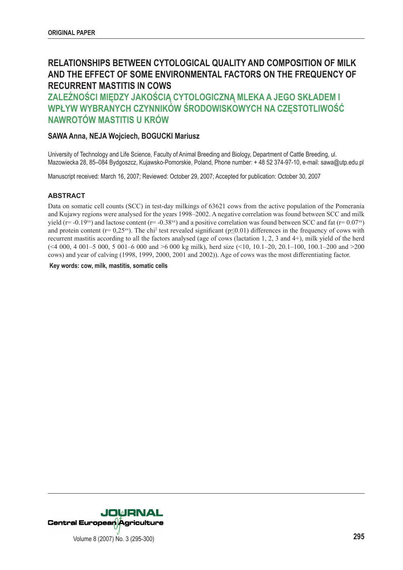# **RELATIONSHIPS BETWEEN CYTOLOGICAL QUALITY AND COMPOSITION OF MILK AND THE EFFECT OF SOME ENVIRONMENTAL FACTORS ON THE FREQUENCY OF RECURRENT MASTITIS IN COWS**

**ZALEŻNOŚCI MIĘDZY JAKOŚCIĄ CYTOLOGICZNĄ MLEKA A JEGO SKŁADEM I WPŁYW WYBRANYCH CZYNNIKÓW ŚRODOWISKOWYCH NA CZĘSTOTLIWOŚĆ NAWROTÓW MASTITIS U KRÓW**

# **SAWA Anna, NEJA Wojciech, BOGUCKI Mariusz**

University of Technology and Life Science, Faculty of Animal Breeding and Biology, Department of Cattle Breeding, ul. Mazowiecka 28, 85–084 Bydgoszcz, Kujawsko-Pomorskie, Poland, Phone number: + 48 52 374-97-10, e-mail: sawa@utp.edu.pl

Manuscript received: March 16, 2007; Reviewed: October 29, 2007; Accepted for publication: October 30, 2007

#### **ABSTRACT**

Data on somatic cell counts (SCC) in test-day milkings of 63621 cows from the active population of the Pomerania and Kujawy regions were analysed for the years 1998–2002. A negative correlation was found between SCC and milk yield (r= -0.19xx) and lactose content (r= -0.38xx) and a positive correlation was found between SCC and fat (r=  $0.07^{xx}$ ) and protein content ( $r= 0.25<sup>xx</sup>$ ). The chi<sup>2</sup> test revealed significant ( $p \le 0.01$ ) differences in the frequency of cows with recurrent mastitis according to all the factors analysed (age of cows (lactation 1, 2, 3 and 4+), milk yield of the herd  $(\leq 4000, 4001 - 5000, 5001 - 6000, 6000, 6000, 6000, 6000, 6000, 6000, 6000, 6000, 6000, 6000, 6000, 6000, 6000, 6000, 6000, 6000, 6000, 6000, 6000, 6000, 6000, 6000, 6000, 6000, 6000, 6000, 6000, 6000, 6000, 6000, 6000,$ cows) and year of calving (1998, 1999, 2000, 2001 and 2002)). Age of cows was the most differentiating factor.

 **Key words: cow, milk, mastitis, somatic cells**

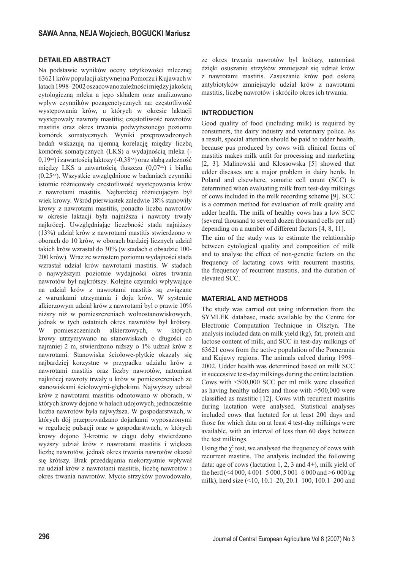## **DETAILED ABSTRACT**

Na podstawie wyników oceny użytkowości mlecznej 63621 krów populacji aktywnej na Pomorzu i Kujawach w latach 1998–2002 oszacowano zależności między jakością cytologiczną mleka a jego składem oraz analizowano wpływ czynników pozagenetycznych na: częstotliwość występowania krów, u których w okresie laktacji występowały nawroty mastitis; częstotliwość nawrotów mastitis oraz okres trwania podwyższonego poziomu komórek somatycznych. Wyniki przeprowadzonych badań wskazują na ujemną korelację między liczbą komórek somatycznych (LKS) a wydajnością mleka (-  $0.19^{xx}$ ) i zawartością laktozy (- $0.38^{xx}$ ) oraz słabą zależność między LKS a zawartością tłuszczu (0,07xx) i białka (0,25xx). Wszystkie uwzględnione w badaniach czynniki istotnie różnicowały częstotliwość występowania krów z nawrotami mastitis. Najbardziej różnicującym był wiek krowy. Wśród pierwiastek zaledwie 18% stanowiły krowy z nawrotami mastitis, ponadto liczba nawrotów w okresie laktacji była najniższa i nawroty trwały najkrócej. Uwzględniając liczebność stada najniższy (13%) udział krów z nawrotami mastitis stwierdzono w oborach do 10 krów, w oborach bardziej licznych udział takich krów wzrastał do 30% (w stadach o obsadzie 100- 200 krów). Wraz ze wzrostem poziomu wydajności stada wzrastał udział krów nawrotami mastitis. W stadach o najwyższym poziomie wydajności okres trwania nawrotów był najkrótszy. Kolejne czynniki wpływające na udział krów z nawrotami mastitis są związane z warunkami utrzymania i doju krów. W systemie alkierzowym udział krów z nawrotami był o prawie 10% niższy niż w pomieszczeniach wolnostanowiskowych, jednak w tych ostatnich okres nawrotów był krótszy. W pomieszczeniach alkierzowych, w których krowy utrzymywano na stanowiskach o długości co najmniej 2 m, stwierdzono niższy o 1% udział krów z nawrotami. Stanowiska ściołowe-płytkie okazały się najbardziej korzystne w przypadku udziału krów z nawrotami mastitis oraz liczby nawrotów, natomiast najkrócej nawroty trwały u krów w pomieszczeniach ze stanowiskami ściołowymi-głębokimi. Najwyższy udział krów z nawrotami mastitis odnotowano w oborach, w których krowy dojono w halach udojowych, jednocześnie liczba nawrotów była najwyższa. W gospodarstwach, w których dój przeprowadzano dojarkami wyposażonymi w regulację pulsacji oraz w gospodarstwach, w których krowy dojono 3-krotnie w ciągu doby stwierdzono wyższy udział krów z nawrotami mastitis i większą liczbę nawrotów, jednak okres trwania nawrotów okazał się krótszy. Brak przeddajania niekorzystnie wpływał na udział krów z nawrotami mastitis, liczbę nawrotów i okres trwania nawrotów. Mycie strzyków powodowało,

że okres trwania nawrotów był krótszy, natomiast dzięki osuszaniu strzyków zmniejszał się udział krów z nawrotami mastitis. Zasuszanie krów pod osłoną antybiotyków zmniejszyło udział krów z nawrotami mastitis, liczbę nawrotów i skróciło okres ich trwania.

## **INTRODUCTION**

Good quality of food (including milk) is required by consumers, the dairy industry and veterinary police. As a result, special attention should be paid to udder health, because pus produced by cows with clinical forms of mastitis makes milk unfit for processing and marketing [2, 3]. Malinowski and Kłossowska [5] showed that udder diseases are a major problem in dairy herds. In Poland and elsewhere, somatic cell count (SCC) is determined when evaluating milk from test-day milkings of cows included in the milk recording scheme [9]. SCC is a common method for evaluation of milk quality and udder health. The milk of healthy cows has a low SCC (several thousand to several dozen thousand cells per ml) depending on a number of different factors [4, 8, 11].

The aim of the study was to estimate the relationship between cytological quality and composition of milk and to analyse the effect of non-genetic factors on the frequency of lactating cows with recurrent mastitis, the frequency of recurrent mastitis, and the duration of elevated SCC.

#### **MATERIAL AND METHODS**

The study was carried out using information from the SYMLEK database, made available by the Centre for Electronic Computation Technique in Olsztyn. The analysis included data on milk yield (kg), fat, protein and lactose content of milk, and SCC in test-day milkings of 63621 cows from the active population of the Pomerania and Kujawy regions. The animals calved during 1998– 2002. Udder health was determined based on milk SCC in successive test-day milkings during the entire lactation. Cows with  $\leq 500,000$  SCC per ml milk were classified as having healthy udders and those with >500,000 were classified as mastitic [12]. Cows with recurrent mastitis during lactation were analysed. Statistical analyses included cows that lactated for at least 200 days and those for which data on at least 4 test-day milkings were available, with an interval of less than 60 days between the test milkings.

Using the  $\chi^2$  test, we analysed the frequency of cows with recurrent mastitis. The analysis included the following data: age of cows (lactation 1, 2, 3 and 4+), milk yield of the herd (<4 000, 4 001–5 000, 5 001–6 000 and >6 000 kg milk), herd size (<10, 10.1–20, 20.1–100, 100.1–200 and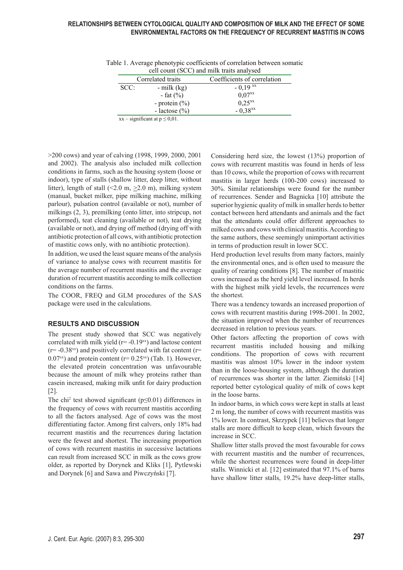| $\cot$ count ( $\cot$ ) and think trans and ysed |                   |                             |  |  |  |  |  |
|--------------------------------------------------|-------------------|-----------------------------|--|--|--|--|--|
| Correlated traits                                |                   | Coefficients of correlation |  |  |  |  |  |
| SCC:                                             | $-$ milk (kg)     | $-0.19^{xx}$                |  |  |  |  |  |
|                                                  | - fat $(\% )$     | $0.07^{xx}$                 |  |  |  |  |  |
|                                                  | - protein $(\% )$ | $0.25^{xx}$                 |  |  |  |  |  |
|                                                  | - lactose $(\% )$ | $-0.38^{xx}$                |  |  |  |  |  |
| $xx -$ significant at $p \le 0.01$ .             |                   |                             |  |  |  |  |  |

Table 1. Average phenotypic coefficients of correlation between somatic cell count (SCC) and milk traits analysed

>200 cows) and year of calving (1998, 1999, 2000, 2001 and 2002). The analysis also included milk collection conditions in farms, such as the housing system (loose or indoor), type of stalls (shallow litter, deep litter, without litter), length of stall  $(\leq 2.0 \text{ m}, \geq 2.0 \text{ m})$ , milking system (manual, bucket milker, pipe milking machine, milking parlour), pulsation control (available or not), number of milkings (2, 3), premilking (onto litter, into stripcup, not performed), teat cleaning (available or not), teat drying (available or not), and drying off method (drying off with antibiotic protection of all cows, with antibiotic protection of mastitic cows only, with no antibiotic protection).

In addition, we used the least square means of the analysis of variance to analyse cows with recurrent mastitis for the average number of recurrent mastitis and the average duration of recurrent mastitis according to milk collection conditions on the farms.

The COOR, FREQ and GLM procedures of the SAS package were used in the calculations.

## **RESULTS AND DISCUSSION**

The present study showed that SCC was negatively correlated with milk yield ( $r = -0.19$ <sup>xx</sup>) and lactose content  $(r=-0.38<sup>xx</sup>)$  and positively correlated with fat content  $(r=$  $0.07<sup>xx</sup>$ ) and protein content (r=  $0.25<sup>xx</sup>$ ) (Tab. 1). However, the elevated protein concentration was unfavourable because the amount of milk whey proteins rather than casein increased, making milk unfit for dairy production [2].

The chi<sup>2</sup> test showed significant ( $p \le 0.01$ ) differences in the frequency of cows with recurrent mastitis according to all the factors analysed. Age of cows was the most differentiating factor. Among first calvers, only 18% had recurrent mastitis and the recurrences during lactation were the fewest and shortest. The increasing proportion of cows with recurrent mastitis in successive lactations can result from increased SCC in milk as the cows grow older, as reported by Dorynek and Kliks [1], Pytlewski and Dorynek [6] and Sawa and Piwczyński [7].

Considering herd size, the lowest (13%) proportion of cows with recurrent mastitis was found in herds of less than 10 cows, while the proportion of cows with recurrent mastitis in larger herds (100-200 cows) increased to 30%. Similar relationships were found for the number of recurrences. Sender and Bagnicka [10] attribute the superior hygienic quality of milk in smaller herds to better contact between herd attendants and animals and the fact that the attendants could offer different approaches to milked cows and cows with clinical mastitis. According to the same authors, these seemingly unimportant activities in terms of production result in lower SCC.

Herd production level results from many factors, mainly the environmental ones, and is often used to measure the quality of rearing conditions [8]. The number of mastitic cows increased as the herd yield level increased. In herds with the highest milk yield levels, the recurrences were the shortest.

There was a tendency towards an increased proportion of cows with recurrent mastitis during 1998-2001. In 2002, the situation improved when the number of recurrences decreased in relation to previous years.

Other factors affecting the proportion of cows with recurrent mastitis included housing and milking conditions. The proportion of cows with recurrent mastitis was almost 10% lower in the indoor system than in the loose-housing system, although the duration of recurrences was shorter in the latter. Ziemiński [14] reported better cytological quality of milk of cows kept in the loose barns.

In indoor barns, in which cows were kept in stalls at least 2 m long, the number of cows with recurrent mastitis was 1% lower. In contrast, Skrzypek [11] believes that longer stalls are more difficult to keep clean, which favours the increase in SCC.

Shallow litter stalls proved the most favourable for cows with recurrent mastitis and the number of recurrences, while the shortest recurrences were found in deep-litter stalls. Winnicki et al. [12] estimated that 97.1% of barns have shallow litter stalls, 19.2% have deep-litter stalls,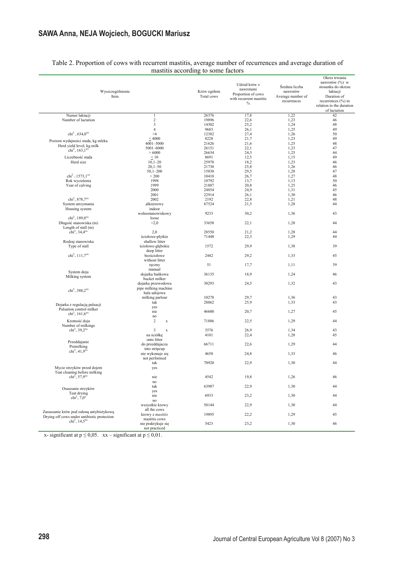# **SAWA Anna, NEJA Wojciech, BOGUCKI Mariusz**

|                                               | $m_{\text{outup}}$ according<br>to point increase          |                           |                                                                                     |                                                                |                                                                                                                                                        |  |  |  |  |
|-----------------------------------------------|------------------------------------------------------------|---------------------------|-------------------------------------------------------------------------------------|----------------------------------------------------------------|--------------------------------------------------------------------------------------------------------------------------------------------------------|--|--|--|--|
| Wyszczególnienie<br>Item                      |                                                            | Krów ogółem<br>Total cows | Udział krów z<br>nawrotami<br>Proportion of cows<br>with recurrent mastitis<br>$\%$ | Średnia liczba<br>nawrotów<br>Average number of<br>recurrences | Okres trwania<br>nawrotów (%) w<br>stosunku do okresu<br>laktacji<br>Duration of<br>recurrences $(\% )$ in<br>relation to the duration<br>of lactation |  |  |  |  |
| Numer laktacji                                | 1                                                          | 26376                     | 17,8                                                                                | 1,22                                                           | 42                                                                                                                                                     |  |  |  |  |
| Number of lactation                           | $\sqrt{2}$                                                 | 19896                     | 22,6                                                                                | 1,23                                                           | 46                                                                                                                                                     |  |  |  |  |
|                                               | $\overline{\mathbf{3}}$                                    |                           |                                                                                     |                                                                |                                                                                                                                                        |  |  |  |  |
|                                               |                                                            | 14302                     | 25,2                                                                                | 1,24                                                           | 48                                                                                                                                                     |  |  |  |  |
|                                               | $\overline{4}$                                             | 9683                      | 26,1                                                                                | 1,25                                                           | 49                                                                                                                                                     |  |  |  |  |
| $chi^2 = 634.0^{xx}$                          | >4                                                         | 12382                     | 27,4                                                                                | 1,26                                                           | 50                                                                                                                                                     |  |  |  |  |
|                                               | $\leq 4000$                                                | 8228                      | 21,7                                                                                | 1,23                                                           | 49                                                                                                                                                     |  |  |  |  |
| Poziom wydajności stada, kg mleka             | 4001-5000                                                  | 21626                     | 21,6                                                                                | 1,25                                                           | 48                                                                                                                                                     |  |  |  |  |
| Herd yield level, kg milk                     |                                                            |                           |                                                                                     |                                                                |                                                                                                                                                        |  |  |  |  |
| $chi^2 = 163.1^{xx}$                          | 5001-6000                                                  | 26151                     | 22,1                                                                                | 1,23                                                           | 47                                                                                                                                                     |  |  |  |  |
|                                               | > 6000                                                     | 26634                     | 24,3                                                                                | 1,25                                                           | 44                                                                                                                                                     |  |  |  |  |
| Liczebność stada                              | $\leq 10$                                                  | 8691                      | 12,5                                                                                | 1,15                                                           | 49                                                                                                                                                     |  |  |  |  |
| Herd size                                     | $10,1 - 20$                                                | 25978                     | 18,2                                                                                | 1,23                                                           | 46                                                                                                                                                     |  |  |  |  |
|                                               | $20,1 - 50$                                                | 21730                     | 25,8                                                                                | 1,26                                                           | 46                                                                                                                                                     |  |  |  |  |
|                                               | $50,1 - 200$                                               | 15830                     | 29,5                                                                                | 1,28                                                           | 47                                                                                                                                                     |  |  |  |  |
| $chi^2 = 1573.1^{xx}$                         | > 200                                                      | 10410                     | 26,7                                                                                | 1,27                                                           | 48                                                                                                                                                     |  |  |  |  |
|                                               |                                                            |                           |                                                                                     |                                                                |                                                                                                                                                        |  |  |  |  |
| Rok wycielenia                                | 1998                                                       | 10792                     | 13,7                                                                                | 1,13                                                           | 50                                                                                                                                                     |  |  |  |  |
| Year of calving                               | 1999                                                       | 21887                     | 20,8                                                                                | 1,25                                                           | 46                                                                                                                                                     |  |  |  |  |
|                                               | 2000                                                       | 24854                     | 24,9                                                                                | 1,31                                                           | 45                                                                                                                                                     |  |  |  |  |
|                                               | 2001                                                       | 22914                     | 26,1                                                                                | 1,30                                                           | 46                                                                                                                                                     |  |  |  |  |
| $chi^2 = 878.7^{xx}$                          | 2002                                                       | 2192                      | 22,8                                                                                | 1,21                                                           | 48                                                                                                                                                     |  |  |  |  |
| System utrzymania                             | alkierzowy                                                 | 67524                     | 21,5                                                                                | 1,28                                                           | 44                                                                                                                                                     |  |  |  |  |
|                                               |                                                            |                           |                                                                                     |                                                                |                                                                                                                                                        |  |  |  |  |
| Housing system<br>$chi^2 = 189.0^{xx}$        | indoor<br>wolnostanowiskowy                                | 9233                      | 30,2                                                                                | 1,36                                                           | 43                                                                                                                                                     |  |  |  |  |
|                                               | loose                                                      |                           |                                                                                     |                                                                |                                                                                                                                                        |  |  |  |  |
| Długość stanowiska (m)<br>Length of stall (m) | < 2, 0                                                     | 33658                     | 22,1                                                                                | 1,28                                                           | 44                                                                                                                                                     |  |  |  |  |
| $chi^2 = 34.4$ <sup>xx</sup>                  | 2,0                                                        | 28550                     | 21,2                                                                                | 1,28                                                           | 44                                                                                                                                                     |  |  |  |  |
|                                               | ściołowe-płytkie                                           | 71448                     | 22,3                                                                                | 1,29                                                           | 44                                                                                                                                                     |  |  |  |  |
| Rodzaj stanowiska                             | shallow litter                                             |                           |                                                                                     |                                                                |                                                                                                                                                        |  |  |  |  |
| Type of stall                                 | ściołowe-głębokie                                          | 1572                      | 29,9                                                                                | 1,38                                                           | 39                                                                                                                                                     |  |  |  |  |
|                                               | deep litter                                                |                           |                                                                                     |                                                                |                                                                                                                                                        |  |  |  |  |
| $chi^2 = 111.7^{xx}$                          | bezściołowe                                                | 2442                      | 29,2                                                                                | 1,33                                                           | 45                                                                                                                                                     |  |  |  |  |
|                                               |                                                            |                           |                                                                                     |                                                                |                                                                                                                                                        |  |  |  |  |
|                                               | without litter                                             |                           |                                                                                     |                                                                |                                                                                                                                                        |  |  |  |  |
|                                               | ręczny                                                     | 51                        | 17,7                                                                                | 1,11                                                           | 39                                                                                                                                                     |  |  |  |  |
|                                               | manual                                                     |                           |                                                                                     |                                                                |                                                                                                                                                        |  |  |  |  |
| System doju                                   | dojarka bańkowa                                            | 36135                     | 18,9                                                                                | 1,24                                                           | 46                                                                                                                                                     |  |  |  |  |
| Milking system                                | bucket milker                                              |                           |                                                                                     |                                                                |                                                                                                                                                        |  |  |  |  |
| $chi^2 = 388.2^{xx}$                          | dojarka przewodowa<br>pipe milking machine<br>hala udojowa | 30293                     | 24,5                                                                                | 1,32                                                           | 43                                                                                                                                                     |  |  |  |  |
|                                               | milking parlour                                            | 10278                     | 29,7                                                                                | 1,36                                                           | 43                                                                                                                                                     |  |  |  |  |
|                                               | tak                                                        | 28862                     | 25,9                                                                                | 1,33                                                           | 43                                                                                                                                                     |  |  |  |  |
| Dojarka z regulacją pulsacji                  |                                                            |                           |                                                                                     |                                                                |                                                                                                                                                        |  |  |  |  |
| Pulsation control milker                      | yes                                                        |                           |                                                                                     |                                                                |                                                                                                                                                        |  |  |  |  |
| $chi^2 = 161,6^{xx}$                          | nie                                                        | 46600                     | 20,7                                                                                | 1,27                                                           | 45                                                                                                                                                     |  |  |  |  |
|                                               | no                                                         |                           |                                                                                     |                                                                |                                                                                                                                                        |  |  |  |  |
| Krotność doju                                 | 2<br>$\mathbf X$                                           | 71886                     | 22,5                                                                                | 1,29                                                           | 44                                                                                                                                                     |  |  |  |  |
| Number of milkings                            |                                                            |                           |                                                                                     |                                                                |                                                                                                                                                        |  |  |  |  |
| $chi^2 = 39.2^{xx}$                           | 3<br>$\mathbf x$                                           | 3576                      | 26,9                                                                                | 1,34                                                           | 43                                                                                                                                                     |  |  |  |  |
|                                               | na ściółkę                                                 | 4101                      | 22,4                                                                                | 1,28                                                           | 45                                                                                                                                                     |  |  |  |  |
|                                               | onto litter                                                |                           |                                                                                     |                                                                |                                                                                                                                                        |  |  |  |  |
| Przeddajanie                                  | do przeddajacza                                            | 66711                     | 22,6                                                                                | 1,29                                                           | 44                                                                                                                                                     |  |  |  |  |
| Premilking                                    |                                                            |                           |                                                                                     |                                                                |                                                                                                                                                        |  |  |  |  |
| $chi^2 = 41.9^{xx}$                           | into stripcup                                              |                           |                                                                                     |                                                                |                                                                                                                                                        |  |  |  |  |
|                                               | nie wykonuje się                                           | 4650                      | 24,8                                                                                | 1,33                                                           | 46                                                                                                                                                     |  |  |  |  |
|                                               | not performed                                              |                           |                                                                                     |                                                                |                                                                                                                                                        |  |  |  |  |
|                                               | tak                                                        | 70920                     | 22,9                                                                                | 1,30                                                           | 44                                                                                                                                                     |  |  |  |  |
| Mycie strzyków przed dojem                    | yes                                                        |                           |                                                                                     |                                                                |                                                                                                                                                        |  |  |  |  |
| Teat cleaning before milking                  |                                                            |                           |                                                                                     |                                                                |                                                                                                                                                        |  |  |  |  |
|                                               |                                                            | 4542                      | 19,8                                                                                | 1,26                                                           | 46                                                                                                                                                     |  |  |  |  |
| $\text{ch}^{-2} = 57.9^{\circ}$               | nie                                                        |                           |                                                                                     |                                                                |                                                                                                                                                        |  |  |  |  |
|                                               | no                                                         |                           |                                                                                     |                                                                |                                                                                                                                                        |  |  |  |  |
| Osuszanie strzyków                            | tak                                                        | 63987                     | 22,9                                                                                | 1,30                                                           | 44                                                                                                                                                     |  |  |  |  |
| Teat drying                                   | yes                                                        |                           |                                                                                     |                                                                |                                                                                                                                                        |  |  |  |  |
| $chi^2 = 7.0^x$                               | nie                                                        | 6933                      | 23,2                                                                                | 1,30                                                           | 44                                                                                                                                                     |  |  |  |  |
|                                               | $\operatorname{no}$                                        |                           |                                                                                     |                                                                |                                                                                                                                                        |  |  |  |  |
|                                               | wszystkie krowy                                            | 50144                     | 22,9                                                                                | 1,30                                                           | 44                                                                                                                                                     |  |  |  |  |
|                                               | all the cows                                               |                           |                                                                                     |                                                                |                                                                                                                                                        |  |  |  |  |
| Zasuszanie krów pod osłona antybiotykowa      | krowy z mastitis                                           | 19895                     | 22,2                                                                                | 1,29                                                           | 45                                                                                                                                                     |  |  |  |  |
| Drying off cows under antibiotic protection   | mastitis cows                                              |                           |                                                                                     |                                                                |                                                                                                                                                        |  |  |  |  |
| $chi^2 = 14.5^{xx}$                           | nie praktykuje się                                         | 5423                      | 23,2                                                                                | 1,30                                                           | 46                                                                                                                                                     |  |  |  |  |
|                                               |                                                            |                           |                                                                                     |                                                                |                                                                                                                                                        |  |  |  |  |
|                                               | not practiced                                              |                           |                                                                                     |                                                                |                                                                                                                                                        |  |  |  |  |

Table 2. Proportion of cows with recurrent mastitis, average number of recurrences and average duration of mastitis according to some factors

x- significant at  $p \le 0.05$ . xx – significant at  $p \le 0.01$ .